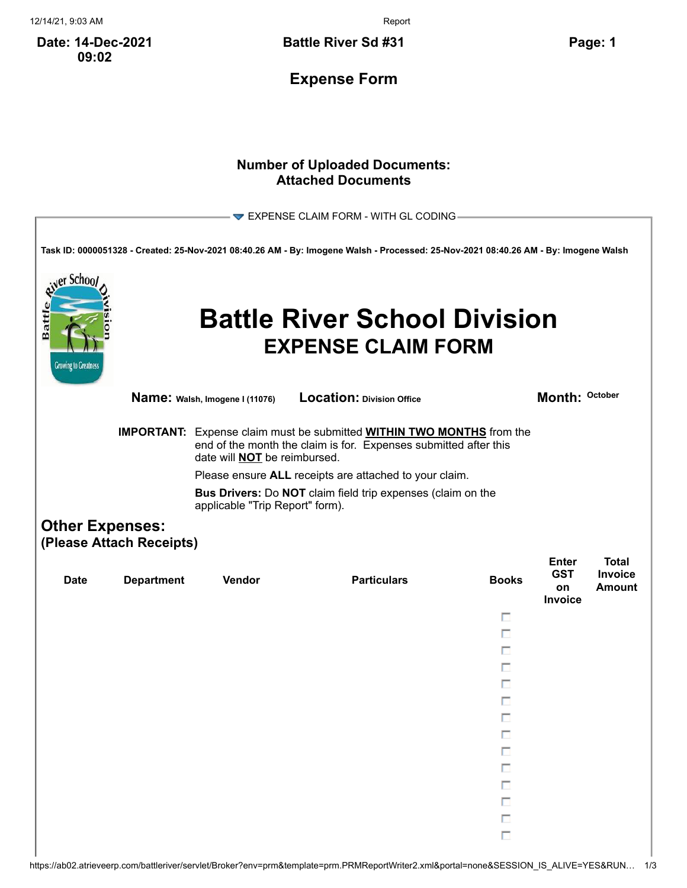12/14/21, 9:03 AM Report

**Date: 14-Dec-2021 09:02**

**Battle River Sd #31 Page: 1**

**Expense Form**

## **Number of Uploaded Documents: Attached Documents**

| er Schoo                             |                                                    |                                     | $\blacktriangledown$ EXPENSE CLAIM FORM - WITH GL CODING<br>Task ID: 0000051328 - Created: 25-Nov-2021 08:40.26 AM - By: Imogene Walsh - Processed: 25-Nov-2021 08:40.26 AM - By: Imogene Walsh |              |                             |                                 |
|--------------------------------------|----------------------------------------------------|-------------------------------------|-------------------------------------------------------------------------------------------------------------------------------------------------------------------------------------------------|--------------|-----------------------------|---------------------------------|
| Battl<br><b>Growing to Greatness</b> |                                                    |                                     | <b>Battle River School Division</b><br><b>EXPENSE CLAIM FORM</b>                                                                                                                                |              |                             |                                 |
|                                      |                                                    | Name: Walsh, Imogene I (11076)      | Location: Division Office                                                                                                                                                                       |              | Month: October              |                                 |
|                                      |                                                    | date will <b>NOT</b> be reimbursed. | <b>IMPORTANT:</b> Expense claim must be submitted <b>WITHIN TWO MONTHS</b> from the<br>end of the month the claim is for. Expenses submitted after this                                         |              |                             |                                 |
|                                      |                                                    |                                     | Please ensure ALL receipts are attached to your claim.                                                                                                                                          |              |                             |                                 |
|                                      |                                                    | applicable "Trip Report" form).     | <b>Bus Drivers:</b> Do <b>NOT</b> claim field trip expenses (claim on the                                                                                                                       |              |                             |                                 |
|                                      | <b>Other Expenses:</b><br>(Please Attach Receipts) |                                     |                                                                                                                                                                                                 |              |                             |                                 |
|                                      |                                                    |                                     |                                                                                                                                                                                                 |              | <b>Enter</b>                | <b>Total</b>                    |
| <b>Date</b>                          | <b>Department</b>                                  | Vendor                              | <b>Particulars</b>                                                                                                                                                                              | <b>Books</b> | <b>GST</b><br>on<br>Invoice | <b>Invoice</b><br><b>Amount</b> |
|                                      |                                                    |                                     |                                                                                                                                                                                                 | п            |                             |                                 |
|                                      |                                                    |                                     |                                                                                                                                                                                                 | П            |                             |                                 |
|                                      |                                                    |                                     |                                                                                                                                                                                                 | п            |                             |                                 |
|                                      |                                                    |                                     |                                                                                                                                                                                                 | п            |                             |                                 |
|                                      |                                                    |                                     |                                                                                                                                                                                                 | г            |                             |                                 |
|                                      |                                                    |                                     |                                                                                                                                                                                                 | □            |                             |                                 |
|                                      |                                                    |                                     |                                                                                                                                                                                                 |              |                             |                                 |
|                                      |                                                    |                                     |                                                                                                                                                                                                 | п            |                             |                                 |
|                                      |                                                    |                                     |                                                                                                                                                                                                 |              |                             |                                 |
|                                      |                                                    |                                     |                                                                                                                                                                                                 | П            |                             |                                 |
|                                      |                                                    |                                     |                                                                                                                                                                                                 | П            |                             |                                 |
|                                      |                                                    |                                     |                                                                                                                                                                                                 | Ē            |                             |                                 |
|                                      |                                                    |                                     |                                                                                                                                                                                                 | П            |                             |                                 |
|                                      |                                                    |                                     |                                                                                                                                                                                                 | П<br>$\Box$  |                             |                                 |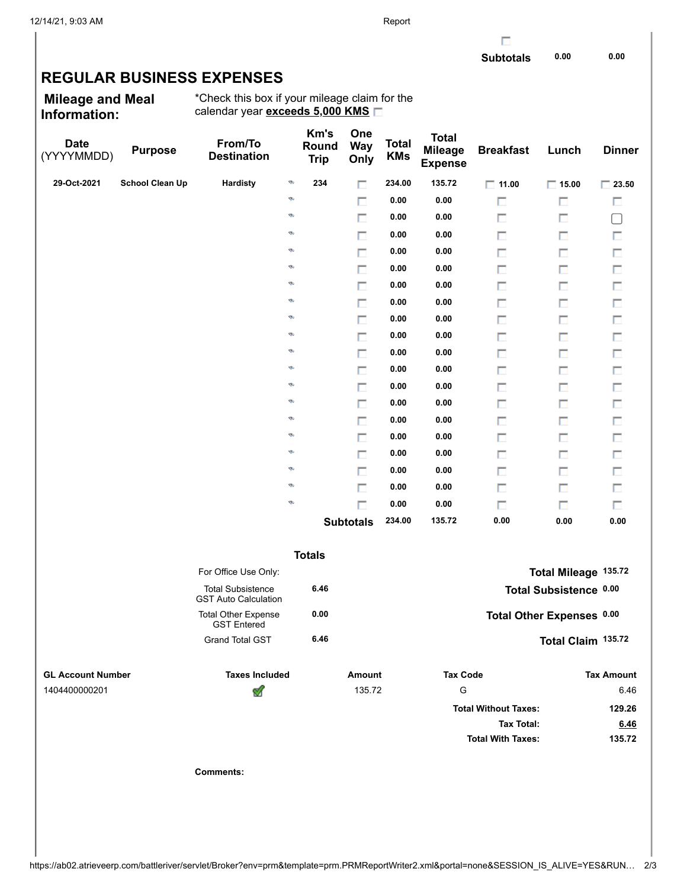г

## **REGULAR BUSINESS EXPENSES**

**Mileage and Meal Information:**

\*Check this box if your mileage claim for the calendar year **exceeds 5,000 KMS**

| <b>Date</b><br>(YYYYMMDD) | <b>Purpose</b>         | From/To<br><b>Destination</b>                           |    | Km's<br>Round<br><b>Trip</b> | One<br><b>Way</b><br>Only | <b>Total</b><br><b>KMs</b> | <b>Total</b><br><b>Mileage</b><br><b>Expense</b> | <b>Breakfast</b>            | Lunch                     | <b>Dinner</b>     |
|---------------------------|------------------------|---------------------------------------------------------|----|------------------------------|---------------------------|----------------------------|--------------------------------------------------|-----------------------------|---------------------------|-------------------|
| 29-Oct-2021               | <b>School Clean Up</b> | Hardisty                                                | G  | 234                          | П                         | 234.00                     | 135.72                                           | $\Box$ 11.00                | $\Box$ 15.00              | $\Box$ 23.50      |
|                           |                        |                                                         | ø  |                              | П                         | 0.00                       | 0.00                                             | П                           | п                         | П                 |
|                           |                        |                                                         | Ø, |                              | П                         | 0.00                       | 0.00                                             | П                           | П                         | $\Box$            |
|                           |                        |                                                         | G  |                              | п                         | 0.00                       | 0.00                                             | П                           | П                         | П                 |
|                           |                        |                                                         | G  |                              | П                         | 0.00                       | 0.00                                             | П                           | П                         | П                 |
|                           |                        |                                                         | ø  |                              | п                         | 0.00                       | 0.00                                             | П                           | П                         | $\Box$            |
|                           |                        |                                                         | ø  |                              | П                         | 0.00                       | 0.00                                             | П                           | П                         | $\Box$            |
|                           |                        |                                                         | G  |                              | п                         | 0.00                       | 0.00                                             | П                           | П                         | П                 |
|                           |                        |                                                         | G. |                              | П                         | 0.00                       | 0.00                                             | П                           | П                         | $\Box$            |
|                           |                        |                                                         | ø  |                              | п                         | 0.00                       | 0.00                                             | П                           | П                         | $\Box$            |
|                           |                        |                                                         | ø  |                              | П                         | 0.00                       | 0.00                                             | П                           | П                         | $\Box$            |
|                           |                        |                                                         | G  |                              | п                         | 0.00                       | 0.00                                             | П                           | П                         | П                 |
|                           |                        |                                                         | G. |                              | П                         | 0.00                       | 0.00                                             | П                           | П                         | $\Box$            |
|                           |                        |                                                         | ø  |                              | П                         | 0.00                       | 0.00                                             | П                           | П                         | $\Box$            |
|                           |                        |                                                         | ø  |                              | П                         | 0.00                       | 0.00                                             | П                           | П                         | $\Box$            |
|                           |                        |                                                         | G  |                              | п                         | 0.00                       | 0.00                                             | П                           | П                         | П                 |
|                           |                        |                                                         | G  |                              | П                         | 0.00                       | 0.00                                             | П                           | П                         | $\Box$            |
|                           |                        |                                                         | ø  |                              | п                         | 0.00                       | 0.00                                             | П                           | П                         | $\Box$            |
|                           |                        |                                                         | G. |                              | П                         | 0.00                       | 0.00                                             | П                           | П                         | $\Box$            |
|                           |                        |                                                         | ø  |                              | $\Box$                    | 0.00                       | 0.00                                             | П                           | П                         | П                 |
|                           |                        |                                                         |    |                              | <b>Subtotals</b>          | 234.00                     | 135.72                                           | 0.00                        | 0.00                      | 0.00              |
|                           |                        |                                                         |    | <b>Totals</b>                |                           |                            |                                                  |                             |                           |                   |
|                           |                        | For Office Use Only:                                    |    |                              |                           |                            |                                                  |                             | Total Mileage 135.72      |                   |
|                           |                        | <b>Total Subsistence</b><br><b>GST Auto Calculation</b> |    | 6.46                         |                           |                            |                                                  |                             | Total Subsistence 0.00    |                   |
|                           |                        | <b>Total Other Expense</b><br><b>GST Entered</b>        |    | 0.00                         |                           |                            |                                                  |                             | Total Other Expenses 0.00 |                   |
|                           |                        | <b>Grand Total GST</b>                                  |    | 6.46                         |                           |                            |                                                  |                             | Total Claim 135.72        |                   |
| <b>GL Account Number</b>  |                        | <b>Taxes Included</b>                                   |    |                              | <b>Amount</b>             |                            | <b>Tax Code</b>                                  |                             |                           | <b>Tax Amount</b> |
| 1404400000201             |                        | V                                                       |    |                              | 135.72                    |                            | G                                                |                             |                           | 6.46              |
|                           |                        |                                                         |    |                              |                           |                            |                                                  | <b>Total Without Taxes:</b> |                           | 129.26            |
|                           |                        |                                                         |    |                              |                           |                            |                                                  | <b>Tax Total:</b>           |                           | 6.46              |
|                           |                        |                                                         |    |                              |                           |                            |                                                  | <b>Total With Taxes:</b>    |                           | 135.72            |
|                           |                        | <b>Comments:</b>                                        |    |                              |                           |                            |                                                  |                             |                           |                   |